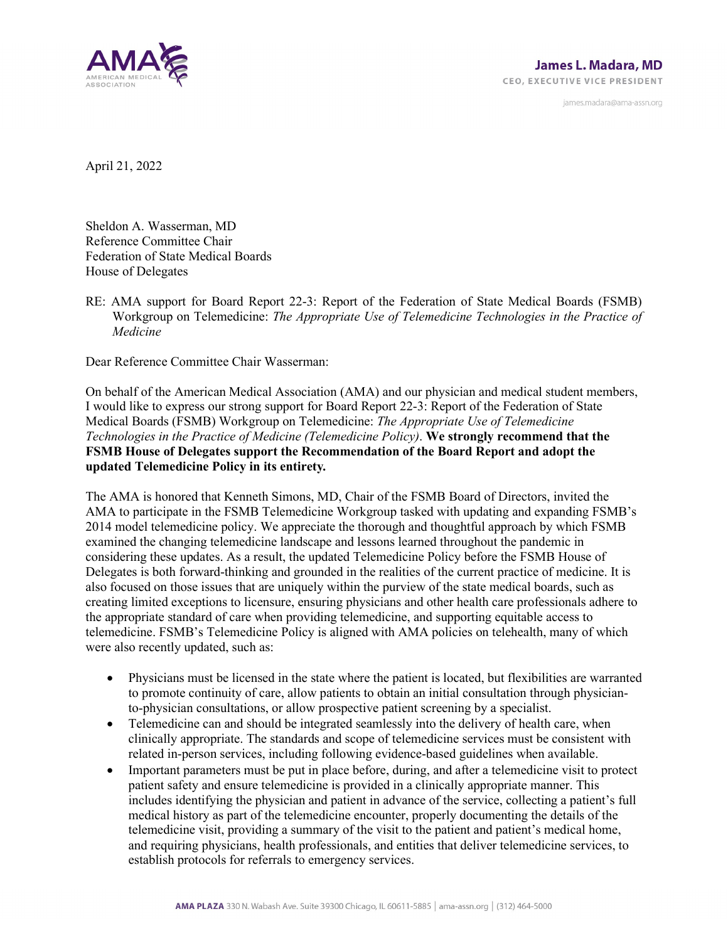

james.madara@ama-assn.org

April 21, 2022

Sheldon A. Wasserman, MD Reference Committee Chair Federation of State Medical Boards House of Delegates

RE: AMA support for Board Report 22-3: Report of the Federation of State Medical Boards (FSMB) Workgroup on Telemedicine: *The Appropriate Use of Telemedicine Technologies in the Practice of Medicine* 

Dear Reference Committee Chair Wasserman:

On behalf of the American Medical Association (AMA) and our physician and medical student members, I would like to express our strong support for Board Report 22-3: Report of the Federation of State Medical Boards (FSMB) Workgroup on Telemedicine: *The Appropriate Use of Telemedicine Technologies in the Practice of Medicine (Telemedicine Policy)*. **We strongly recommend that the FSMB House of Delegates support the Recommendation of the Board Report and adopt the updated Telemedicine Policy in its entirety***.*

The AMA is honored that Kenneth Simons, MD, Chair of the FSMB Board of Directors, invited the AMA to participate in the FSMB Telemedicine Workgroup tasked with updating and expanding FSMB's 2014 model telemedicine policy. We appreciate the thorough and thoughtful approach by which FSMB examined the changing telemedicine landscape and lessons learned throughout the pandemic in considering these updates. As a result, the updated Telemedicine Policy before the FSMB House of Delegates is both forward-thinking and grounded in the realities of the current practice of medicine. It is also focused on those issues that are uniquely within the purview of the state medical boards, such as creating limited exceptions to licensure, ensuring physicians and other health care professionals adhere to the appropriate standard of care when providing telemedicine, and supporting equitable access to telemedicine. FSMB's Telemedicine Policy is aligned with AMA policies on telehealth, many of which were also recently updated, such as:

- Physicians must be licensed in the state where the patient is located, but flexibilities are warranted to promote continuity of care, allow patients to obtain an initial consultation through physicianto-physician consultations, or allow prospective patient screening by a specialist.
- Telemedicine can and should be integrated seamlessly into the delivery of health care, when clinically appropriate. The standards and scope of telemedicine services must be consistent with related in-person services, including following evidence-based guidelines when available.
- Important parameters must be put in place before, during, and after a telemedicine visit to protect patient safety and ensure telemedicine is provided in a clinically appropriate manner. This includes identifying the physician and patient in advance of the service, collecting a patient's full medical history as part of the telemedicine encounter, properly documenting the details of the telemedicine visit, providing a summary of the visit to the patient and patient's medical home, and requiring physicians, health professionals, and entities that deliver telemedicine services, to establish protocols for referrals to emergency services.